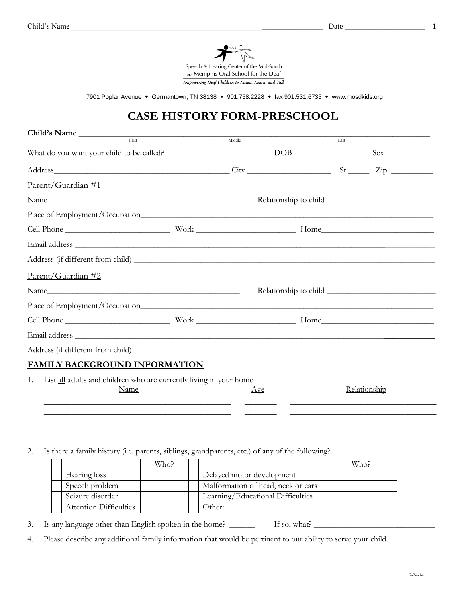

7901 Poplar Avenue • Germantown, TN 38138 • 901.758.2228 • fax 901.531.6735 • www.mosdkids.org

# **CASE HISTORY FORM-PRESCHOOL**

|                    | Child's Name                                                               |        |     |      |              |
|--------------------|----------------------------------------------------------------------------|--------|-----|------|--------------|
|                    | First                                                                      | Middle |     | Last |              |
|                    | What do you want your child to be called?                                  |        |     |      | $Sex \_$     |
|                    |                                                                            |        |     |      |              |
| Parent/Guardian #1 |                                                                            |        |     |      |              |
|                    |                                                                            |        |     |      |              |
|                    |                                                                            |        |     |      |              |
|                    |                                                                            |        |     |      |              |
|                    |                                                                            |        |     |      |              |
|                    |                                                                            |        |     |      |              |
| Parent/Guardian #2 |                                                                            |        |     |      |              |
|                    |                                                                            |        |     |      |              |
|                    |                                                                            |        |     |      |              |
|                    |                                                                            |        |     |      |              |
|                    |                                                                            |        |     |      |              |
|                    |                                                                            |        |     |      |              |
|                    | <b>FAMILY BACKGROUND INFORMATION</b>                                       |        |     |      |              |
| 1.                 | List all adults and children who are currently living in your home<br>Name |        | Age |      | Relationship |

2. Is there a family history (i.e. parents, siblings, grandparents, etc.) of any of the following?

|                               | Who? |                                    | Who? |
|-------------------------------|------|------------------------------------|------|
| Hearing loss                  |      | Delayed motor development          |      |
| Speech problem                |      | Malformation of head, neck or ears |      |
| Seizure disorder              |      | Learning/Educational Difficulties  |      |
| <b>Attention Difficulties</b> |      | Other:                             |      |

\_\_\_\_\_\_\_\_\_\_\_\_\_\_\_\_\_\_\_\_\_\_\_\_\_\_\_\_\_\_\_\_\_\_\_\_\_\_\_\_\_ \_\_\_\_\_\_\_ \_\_\_\_\_\_\_\_\_\_\_\_\_\_\_\_\_\_\_\_\_\_\_\_\_\_\_\_\_\_\_\_ \_\_\_\_\_\_\_\_\_\_\_\_\_\_\_\_\_\_\_\_\_\_\_\_\_\_\_\_\_\_\_\_\_\_\_\_\_\_\_\_\_ \_\_\_\_\_\_\_ \_\_\_\_\_\_\_\_\_\_\_\_\_\_\_\_\_\_\_\_\_\_\_\_\_\_\_\_\_\_\_\_ \_\_\_\_\_\_\_\_\_\_\_\_\_\_\_\_\_\_\_\_\_\_\_\_\_\_\_\_\_\_\_\_\_\_\_\_\_\_\_\_\_ \_\_\_\_\_\_\_ \_\_\_\_\_\_\_\_\_\_\_\_\_\_\_\_\_\_\_\_\_\_\_\_\_\_\_\_\_\_\_\_

\_\_\_\_\_\_\_\_\_\_\_\_\_\_\_\_\_\_\_\_\_\_\_\_\_\_\_\_\_\_\_\_\_\_\_\_\_\_\_\_\_\_\_\_\_\_\_\_\_\_\_\_\_\_\_\_\_\_\_\_\_\_\_\_\_\_\_\_\_\_\_\_\_\_ \_\_\_\_\_\_\_\_\_\_\_\_\_\_\_\_\_\_\_\_\_\_\_\_\_\_\_\_\_\_\_\_\_\_\_\_\_\_\_\_\_\_\_\_\_\_\_\_\_\_\_\_\_\_\_\_\_\_\_\_\_\_\_\_\_\_\_\_\_\_\_\_\_\_

3. Is any language other than English spoken in the home? \_\_\_\_\_\_\_ If so, what? \_\_\_\_\_

4. Please describe any additional family information that would be pertinent to our ability to serve your child.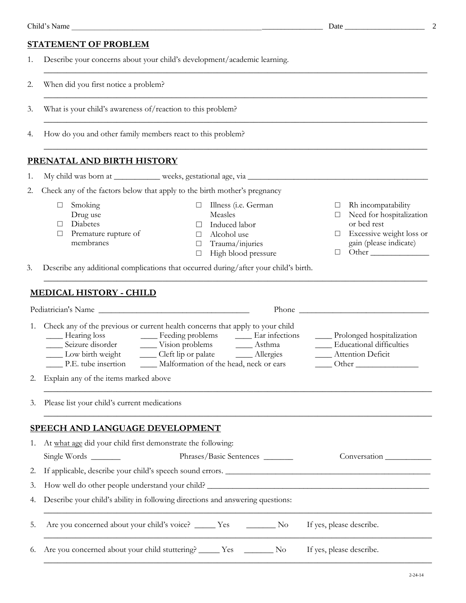|--|

- 1. Describe your concerns about your child's development/academic learning.
- 2. When did you first notice a problem?
- 3. What is your child's awareness of/reaction to this problem?
- 4. How do you and other family members react to this problem?

#### **PRENATAL AND BIRTH HISTORY**

- 1. My child was born at \_\_\_\_\_\_\_\_\_\_\_ weeks, gestational age, via \_\_\_\_\_\_\_\_\_\_\_\_\_\_\_\_
- 2. Check any of the factors below that apply to the birth mother's pregnancy
	- □ Smoking
	- Drug use
	- □ Diabetes
	- □ Premature rupture of membranes
- □ Illness (i.e. German Measles

\_\_\_\_\_\_\_\_\_\_\_\_\_\_\_\_\_\_\_\_\_\_\_\_\_\_\_\_\_\_\_\_\_\_\_\_\_\_\_\_\_\_\_\_\_\_\_\_\_\_\_\_\_\_\_\_\_\_\_\_\_\_\_\_\_\_\_\_\_\_\_\_\_\_\_\_\_\_\_\_\_\_\_\_

\_\_\_\_\_\_\_\_\_\_\_\_\_\_\_\_\_\_\_\_\_\_\_\_\_\_\_\_\_\_\_\_\_\_\_\_\_\_\_\_\_\_\_\_\_\_\_\_\_\_\_\_\_\_\_\_\_\_\_\_\_\_\_\_\_\_\_\_\_\_\_\_\_\_\_\_\_\_\_\_\_\_\_\_

\_\_\_\_\_\_\_\_\_\_\_\_\_\_\_\_\_\_\_\_\_\_\_\_\_\_\_\_\_\_\_\_\_\_\_\_\_\_\_\_\_\_\_\_\_\_\_\_\_\_\_\_\_\_\_\_\_\_\_\_\_\_\_\_\_\_\_\_\_\_\_\_\_\_\_\_\_\_\_\_\_\_\_\_

\_\_\_\_\_\_\_\_\_\_\_\_\_\_\_\_\_\_\_\_\_\_\_\_\_\_\_\_\_\_\_\_\_\_\_\_\_\_\_\_\_\_\_\_\_\_\_\_\_\_\_\_\_\_\_\_\_\_\_\_\_\_\_\_\_\_\_\_\_\_\_\_\_\_\_\_\_\_\_\_\_\_\_\_

- □ Induced labor
- □ Alcohol use
- □ Trauma/injuries
- □ High blood pressure

\_\_\_\_\_\_\_\_\_\_\_\_\_\_\_\_\_\_\_\_\_\_\_\_\_\_\_\_\_\_\_\_\_\_\_\_\_\_\_\_\_\_\_\_\_\_\_\_\_\_\_\_\_\_\_\_\_\_\_\_\_\_\_\_\_\_\_\_\_\_\_\_\_\_\_\_\_\_\_\_\_\_\_\_

3. Describe any additional complications that occurred during/after your child's birth.

### **MEDICAL HISTORY - CHILD**

|    | Pediatrician's Name                                                                                                                                 |  | Phone | <u> 1980 - Jan Stein, amerikansk politik (</u>                                                                        |  |  |
|----|-----------------------------------------------------------------------------------------------------------------------------------------------------|--|-------|-----------------------------------------------------------------------------------------------------------------------|--|--|
| 1. | Check any of the previous or current health concerns that apply to your child<br>Low birth weight _________ Cleft lip or palate _________ Allergies |  |       | Prolonged hospitalization<br><b>Educational difficulties</b><br><b>Example 12</b> Attention Deficit<br>$\text{Other}$ |  |  |
|    | Explain any of the items marked above<br>2.                                                                                                         |  |       |                                                                                                                       |  |  |
|    | 3. Please list your child's current medications                                                                                                     |  |       |                                                                                                                       |  |  |
|    | SPEECH AND LANGUAGE DEVELOPMENT                                                                                                                     |  |       |                                                                                                                       |  |  |
|    | 1. At what age did your child first demonstrate the following:                                                                                      |  |       |                                                                                                                       |  |  |

| Phrases/Basic Sentences<br>Conversation                                           |  |  |  |  |  |
|-----------------------------------------------------------------------------------|--|--|--|--|--|
| 2. If applicable, describe your child's speech sound errors.                      |  |  |  |  |  |
| 3. How well do other people understand your child?                                |  |  |  |  |  |
| 4. Describe your child's ability in following directions and answering questions: |  |  |  |  |  |
|                                                                                   |  |  |  |  |  |
|                                                                                   |  |  |  |  |  |

□ Rh incompatability □ Need for hospitalization

□ Excessive weight loss or gain (please indicate)  $\Box$  Other  $\Box$ 

or bed rest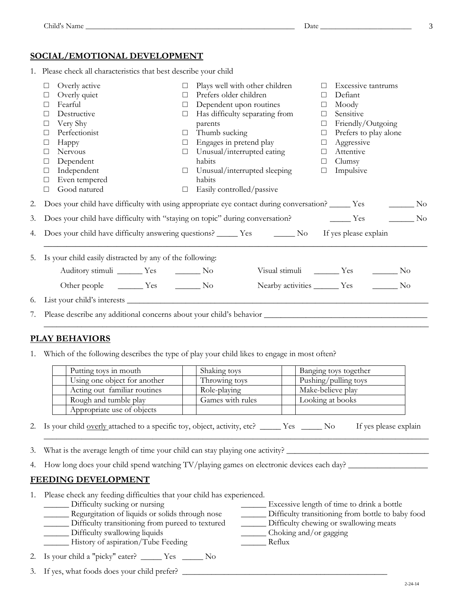1. Please check all characteristics that best describe your child

| $\Box$ | Overly active                                               | $\Box$ | Plays well with other children                                                                                     | $\Box$ | Excessive tantrums                          |  |
|--------|-------------------------------------------------------------|--------|--------------------------------------------------------------------------------------------------------------------|--------|---------------------------------------------|--|
| □      | Overly quiet                                                | $\Box$ | Prefers older children                                                                                             | $\Box$ | Defiant                                     |  |
| □      | Fearful                                                     | $\Box$ | Dependent upon routines                                                                                            | $\Box$ | Moody                                       |  |
| $\Box$ | Destructive                                                 | $\Box$ | Has difficulty separating from                                                                                     | $\Box$ | Sensitive                                   |  |
| □      | Very Shy                                                    |        | parents                                                                                                            | $\Box$ | Friendly/Outgoing                           |  |
| □      | Perfectionist                                               | $\Box$ | Thumb sucking                                                                                                      | $\Box$ | Prefers to play alone                       |  |
| $\Box$ | Happy                                                       | $\Box$ | Engages in pretend play                                                                                            | $\Box$ | Aggressive                                  |  |
| $\Box$ | Nervous                                                     | $\Box$ | Unusual/interrupted eating                                                                                         | $\Box$ | Attentive                                   |  |
| $\Box$ | Dependent                                                   |        | habits                                                                                                             | $\Box$ | Clumsy                                      |  |
| $\Box$ | Independent                                                 |        | $\Box$ Unusual/interrupted sleeping                                                                                | $\Box$ | Impulsive                                   |  |
| $\Box$ | Even tempered                                               |        | habits                                                                                                             |        |                                             |  |
| $\Box$ | Good natured                                                | $\Box$ | Easily controlled/passive                                                                                          |        |                                             |  |
|        |                                                             |        | 2. Does your child have difficulty with using appropriate eye contact during conversation? ______ Yes _________ No |        |                                             |  |
|        |                                                             |        | 3. Does your child have difficulty with "staying on topic" during conversation? No No New Yes No                   |        |                                             |  |
|        |                                                             |        | 4. Does your child have difficulty answering questions? ______ Yes ________ No If yes please explain               |        |                                             |  |
|        | 5. Is your child easily distracted by any of the following: |        |                                                                                                                    |        |                                             |  |
|        | Auditory stimuli ________ Yes __________ No                 |        |                                                                                                                    |        | Visual stimuli __________ Yes __________ No |  |
|        |                                                             |        |                                                                                                                    |        | Nearby activities ________ Yes _________ No |  |
|        |                                                             |        |                                                                                                                    |        |                                             |  |
|        |                                                             |        |                                                                                                                    |        |                                             |  |
|        |                                                             |        |                                                                                                                    |        |                                             |  |

## **PLAY BEHAVIORS**

1. Which of the following describes the type of play your child likes to engage in most often?

| Putting toys in mouth        | Shaking toys     | Banging toys together |
|------------------------------|------------------|-----------------------|
| Using one object for another | Throwing toys    | Pushing/pulling toys  |
| Acting out familiar routines | Role-playing     | Make-believe play     |
| Rough and tumble play        | Games with rules | Looking at books      |
| Appropriate use of objects   |                  |                       |

2. Is your child overly attached to a specific toy, object, activity, etc? \_\_\_\_\_ Yes \_\_\_\_\_ No If yes please explain

\_\_\_\_\_\_\_\_\_\_\_\_\_\_\_\_\_\_\_\_\_\_\_\_\_\_\_\_\_\_\_\_\_\_\_\_\_\_\_\_\_\_\_\_\_\_\_\_\_\_\_\_\_\_\_\_\_\_\_\_\_\_\_\_\_\_\_\_\_\_\_\_\_\_\_\_\_\_\_\_\_\_\_\_\_\_\_\_\_\_\_\_

- 3. What is the average length of time your child can stay playing one activity?
- 4. How long does your child spend watching TV/playing games on electronic devices each day? \_\_\_\_\_\_\_\_\_\_\_\_\_\_\_\_\_\_\_

#### **FEEDING DEVELOPMENT**

- 1. Please check any feeding difficulties that your child has experienced.
	- \_\_\_\_\_\_ Difficulty sucking or nursing \_\_\_\_\_\_ Excessive length of time to drink a bottle
	- \_\_\_\_\_\_ Regurgitation of liquids or solids through nose \_\_\_\_\_\_ Difficulty transitioning from bottle to baby food
	- \_\_\_\_\_\_ Difficulty transitioning from pureed to textured \_\_\_\_\_\_ Difficulty chewing or swallowing meats
	- \_\_\_\_\_\_ Difficulty swallowing liquids \_\_\_\_\_\_ Choking and/or gagging
	- \_\_\_\_\_\_ History of aspiration/Tube Feeding \_\_\_\_\_\_ Reflux
- 2. Is your child a "picky" eater? \_\_\_\_\_ Yes \_\_\_\_\_ No
- 3. If yes, what foods does your child prefer?  $\_\_$